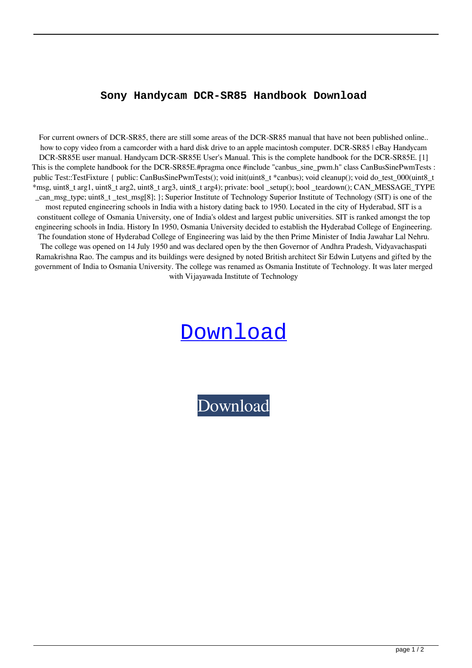## **Sony Handycam DCR-SR85 Handbook Download**

For current owners of DCR-SR85, there are still some areas of the DCR-SR85 manual that have not been published online.. how to copy video from a camcorder with a hard disk drive to an apple macintosh computer. DCR-SR85 | eBay Handycam DCR-SR85E user manual. Handycam DCR-SR85E User's Manual. This is the complete handbook for the DCR-SR85E. [1] This is the complete handbook for the DCR-SR85E.#pragma once #include "canbus\_sine\_pwm.h" class CanBusSinePwmTests : public Test::TestFixture { public: CanBusSinePwmTests(); void init(uint8\_t \*canbus); void cleanup(); void do\_test\_000(uint8\_t \*msg, uint8\_t arg1, uint8\_t arg2, uint8\_t arg3, uint8\_t arg4); private: bool \_setup(); bool \_teardown(); CAN\_MESSAGE\_TYPE \_can\_msg\_type; uint8\_t \_test\_msg[8]; }; Superior Institute of Technology Superior Institute of Technology (SIT) is one of the most reputed engineering schools in India with a history dating back to 1950. Located in the city of Hyderabad, SIT is a constituent college of Osmania University, one of India's oldest and largest public universities. SIT is ranked amongst the top engineering schools in India. History In 1950, Osmania University decided to establish the Hyderabad College of Engineering. The foundation stone of Hyderabad College of Engineering was laid by the then Prime Minister of India Jawahar Lal Nehru. The college was opened on 14 July 1950 and was declared open by the then Governor of Andhra Pradesh, Vidyavachaspati Ramakrishna Rao. The campus and its buildings were designed by noted British architect Sir Edwin Lutyens and gifted by the government of India to Osmania University. The college was renamed as Osmania Institute of Technology. It was later merged with Vijayawada Institute of Technology

## [Download](http://evacdir.com/handset.ZG93bmxvYWR8c2Q5TVhaeU0zeDhNVFkxTWpjME1EZzJObng4TWpVM05IeDhLRTBwSUhKbFlXUXRZbXh2WnlCYlJtRnpkQ0JIUlU1ZA/gettting.landers.hyperexcitability.revolutionize.U29ueSBIYW5keWNhbSBEQ1ItU1I4NSBIYW5kYm9vayBEb3dubG9hZAU29)

[Download](http://evacdir.com/handset.ZG93bmxvYWR8c2Q5TVhaeU0zeDhNVFkxTWpjME1EZzJObng4TWpVM05IeDhLRTBwSUhKbFlXUXRZbXh2WnlCYlJtRnpkQ0JIUlU1ZA/gettting.landers.hyperexcitability.revolutionize.U29ueSBIYW5keWNhbSBEQ1ItU1I4NSBIYW5kYm9vayBEb3dubG9hZAU29)